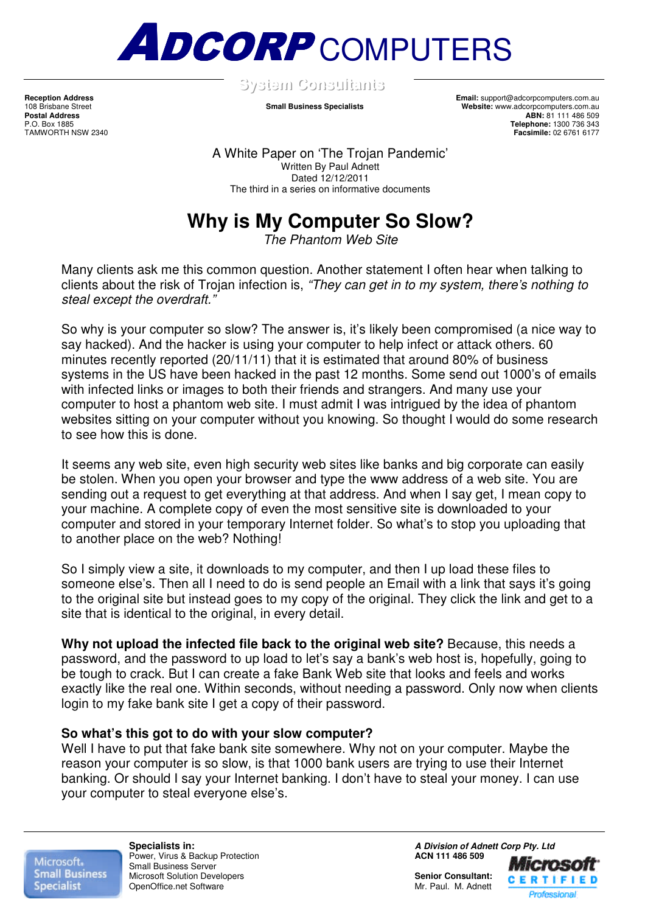

**SSyysstteemmCCoonnssuullttaannttss** .

**Reception Address Email:** support@adcorpcomputers.com.au 108 Brisbane Street **Small Business Specialists Website:** www.adcorpcomputers.com.au Postal Address<br>
Postal Address<br>
P.O. Box 1885<br>
P.O. Box 1885 P.O. Box 1885 **Telephone:** 1300 736 343 **Facsimile:** 02 6761 6177

> A White Paper on 'The Trojan Pandemic' Written By Paul Adnett Dated 12/12/2011 The third in a series on informative documents

## **Why is My Computer So Slow?**

The Phantom Web Site

Many clients ask me this common question. Another statement I often hear when talking to clients about the risk of Trojan infection is, "They can get in to my system, there's nothing to steal except the overdraft."

So why is your computer so slow? The answer is, it's likely been compromised (a nice way to say hacked). And the hacker is using your computer to help infect or attack others. 60 minutes recently reported (20/11/11) that it is estimated that around 80% of business systems in the US have been hacked in the past 12 months. Some send out 1000's of emails with infected links or images to both their friends and strangers. And many use your computer to host a phantom web site. I must admit I was intrigued by the idea of phantom websites sitting on your computer without you knowing. So thought I would do some research to see how this is done.

It seems any web site, even high security web sites like banks and big corporate can easily be stolen. When you open your browser and type the www address of a web site. You are sending out a request to get everything at that address. And when I say get, I mean copy to your machine. A complete copy of even the most sensitive site is downloaded to your computer and stored in your temporary Internet folder. So what's to stop you uploading that to another place on the web? Nothing!

So I simply view a site, it downloads to my computer, and then I up load these files to someone else's. Then all I need to do is send people an Email with a link that says it's going to the original site but instead goes to my copy of the original. They click the link and get to a site that is identical to the original, in every detail.

**Why not upload the infected file back to the original web site?** Because, this needs a password, and the password to up load to let's say a bank's web host is, hopefully, going to be tough to crack. But I can create a fake Bank Web site that looks and feels and works exactly like the real one. Within seconds, without needing a password. Only now when clients login to my fake bank site I get a copy of their password.

## **So what's this got to do with your slow computer?**

Well I have to put that fake bank site somewhere. Why not on your computer. Maybe the reason your computer is so slow, is that 1000 bank users are trying to use their Internet banking. Or should I say your Internet banking. I don't have to steal your money. I can use your computer to steal everyone else's.

Microsoft. **Small Business Specialist** 

**Power, Virus & Backup Protection** Small Business Server Microsoft Solution Developers **Senior Consultant: Senior Consultant: Consultant: Consultant: Consultant: Consultant: Consultant: Consultant: Consultant: Consultant: Consultant: Consultant: Consultan** OpenOffice.net Software

**Specialists in: A Division of Adnett Corp Pty. Ltd Prover.** Virus & Backup Protection **Administration COV ACN 111 486 509**